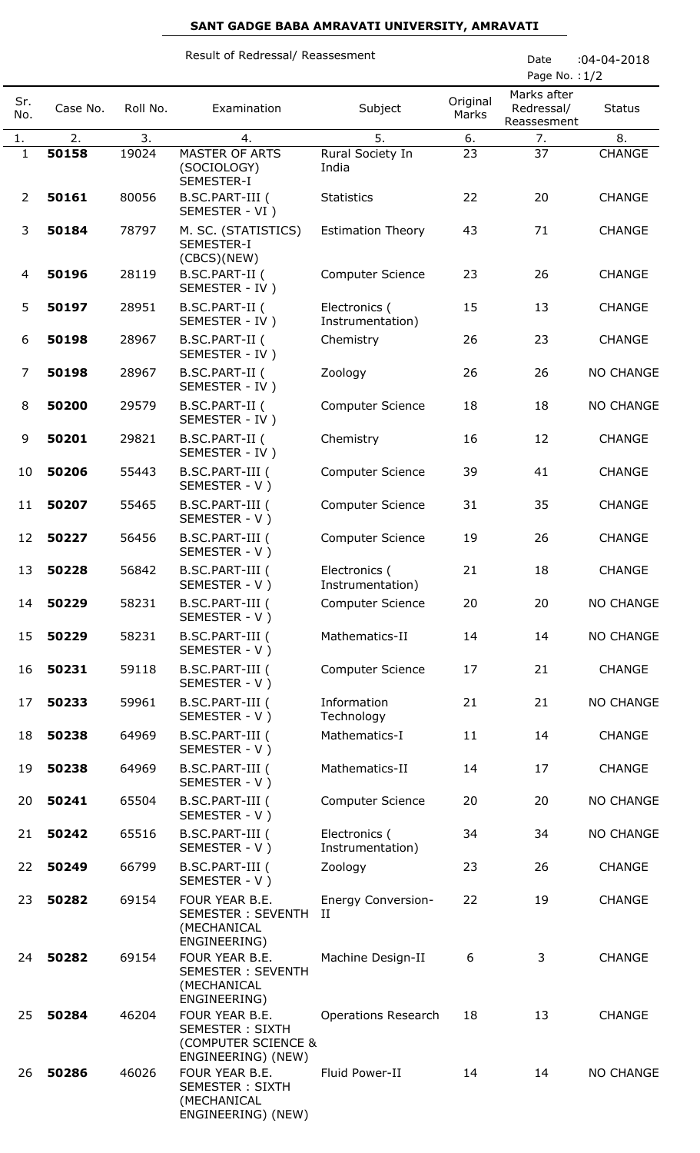## **SANT GADGE BABA AMRAVATI UNIVERSITY, AMRAVATI**

|                |          |          | Result of Redressal/ Reassesment                                                      | Date<br>Page No.: 1/2             | $:04 - 04 - 2018$ |                                          |                  |
|----------------|----------|----------|---------------------------------------------------------------------------------------|-----------------------------------|-------------------|------------------------------------------|------------------|
| Sr.<br>No.     | Case No. | Roll No. | Examination                                                                           | Subject                           | Original<br>Marks | Marks after<br>Redressal/<br>Reassesment | <b>Status</b>    |
| 1.             | 2.       | 3.       | 4.                                                                                    | 5.                                | 6.                | 7.                                       | 8.               |
| $\mathbf{1}$   | 50158    | 19024    | MASTER OF ARTS<br>(SOCIOLOGY)<br>SEMESTER-I                                           | Rural Society In<br>India         | 23                | 37                                       | <b>CHANGE</b>    |
| $\overline{2}$ | 50161    | 80056    | B.SC.PART-III (<br>SEMESTER - VI )                                                    | <b>Statistics</b>                 | 22                | 20                                       | <b>CHANGE</b>    |
| 3              | 50184    | 78797    | M. SC. (STATISTICS)<br>SEMESTER-I<br>(CBCS)(NEW)                                      | <b>Estimation Theory</b>          | 43                | 71                                       | <b>CHANGE</b>    |
| 4              | 50196    | 28119    | B.SC.PART-II (<br>SEMESTER - IV)                                                      | <b>Computer Science</b>           | 23                | 26                                       | <b>CHANGE</b>    |
| 5              | 50197    | 28951    | B.SC.PART-II (<br>SEMESTER - IV)                                                      | Electronics (<br>Instrumentation) | 15                | 13                                       | <b>CHANGE</b>    |
| 6              | 50198    | 28967    | B.SC.PART-II (<br>SEMESTER - IV)                                                      | Chemistry                         | 26                | 23                                       | <b>CHANGE</b>    |
| 7              | 50198    | 28967    | B.SC.PART-II (<br>SEMESTER - IV)                                                      | Zoology                           | 26                | 26                                       | <b>NO CHANGE</b> |
| 8              | 50200    | 29579    | B.SC.PART-II (<br>SEMESTER - IV)                                                      | <b>Computer Science</b>           | 18                | 18                                       | <b>NO CHANGE</b> |
| 9              | 50201    | 29821    | B.SC.PART-II (<br>SEMESTER - IV)                                                      | Chemistry                         | 16                | 12                                       | <b>CHANGE</b>    |
| 10             | 50206    | 55443    | B.SC.PART-III (<br>SEMESTER - V)                                                      | <b>Computer Science</b>           | 39                | 41                                       | <b>CHANGE</b>    |
| 11             | 50207    | 55465    | B.SC.PART-III (<br>SEMESTER - V)                                                      | <b>Computer Science</b>           | 31                | 35                                       | <b>CHANGE</b>    |
| 12             | 50227    | 56456    | B.SC.PART-III (<br>SEMESTER - V)                                                      | <b>Computer Science</b>           | 19                | 26                                       | <b>CHANGE</b>    |
| 13             | 50228    | 56842    | B.SC.PART-III (<br>SEMESTER - V)                                                      | Electronics (<br>Instrumentation) | 21                | 18                                       | <b>CHANGE</b>    |
| 14             | 50229    | 58231    | B.SC.PART-III (<br>SEMESTER - V)                                                      | <b>Computer Science</b>           | 20                | 20                                       | <b>NO CHANGE</b> |
| 15             | 50229    | 58231    | B.SC.PART-III (<br>SEMESTER - V)                                                      | Mathematics-II                    | 14                | 14                                       | <b>NO CHANGE</b> |
| 16             | 50231    | 59118    | B.SC.PART-III (<br>SEMESTER - V)                                                      | <b>Computer Science</b>           | 17                | 21                                       | <b>CHANGE</b>    |
| 17             | 50233    | 59961    | B.SC.PART-III (<br>SEMESTER - V)                                                      | Information<br>Technology         | 21                | 21                                       | <b>NO CHANGE</b> |
| 18             | 50238    | 64969    | B.SC.PART-III (<br>SEMESTER - V)                                                      | Mathematics-I                     | 11                | 14                                       | <b>CHANGE</b>    |
| 19             | 50238    | 64969    | B.SC.PART-III (<br>SEMESTER - V)                                                      | Mathematics-II                    | 14                | 17                                       | <b>CHANGE</b>    |
| 20             | 50241    | 65504    | B.SC.PART-III (<br>SEMESTER - V)                                                      | <b>Computer Science</b>           | 20                | 20                                       | <b>NO CHANGE</b> |
| 21             | 50242    | 65516    | B.SC.PART-III (<br>SEMESTER - V)                                                      | Electronics (<br>Instrumentation) | 34                | 34                                       | <b>NO CHANGE</b> |
| 22             | 50249    | 66799    | B.SC.PART-III (<br>SEMESTER - V)                                                      | Zoology                           | 23                | 26                                       | <b>CHANGE</b>    |
| 23             | 50282    | 69154    | FOUR YEAR B.E.<br><b>SEMESTER: SEVENTH</b><br>(MECHANICAL<br>ENGINEERING)             | <b>Energy Conversion-</b><br>Н    | 22                | 19                                       | <b>CHANGE</b>    |
| 24             | 50282    | 69154    | FOUR YEAR B.E.<br><b>SEMESTER: SEVENTH</b><br>(MECHANICAL<br>ENGINEERING)             | Machine Design-II                 | 6                 | 3                                        | <b>CHANGE</b>    |
| 25             | 50284    | 46204    | FOUR YEAR B.E.<br><b>SEMESTER: SIXTH</b><br>(COMPUTER SCIENCE &<br>ENGINEERING) (NEW) | <b>Operations Research</b>        | 18                | 13                                       | <b>CHANGE</b>    |
| 26             | 50286    | 46026    | FOUR YEAR B.E.<br><b>SEMESTER: SIXTH</b><br>(MECHANICAL<br>ENGINEERING) (NEW)         | Fluid Power-II                    | 14                | 14                                       | <b>NO CHANGE</b> |